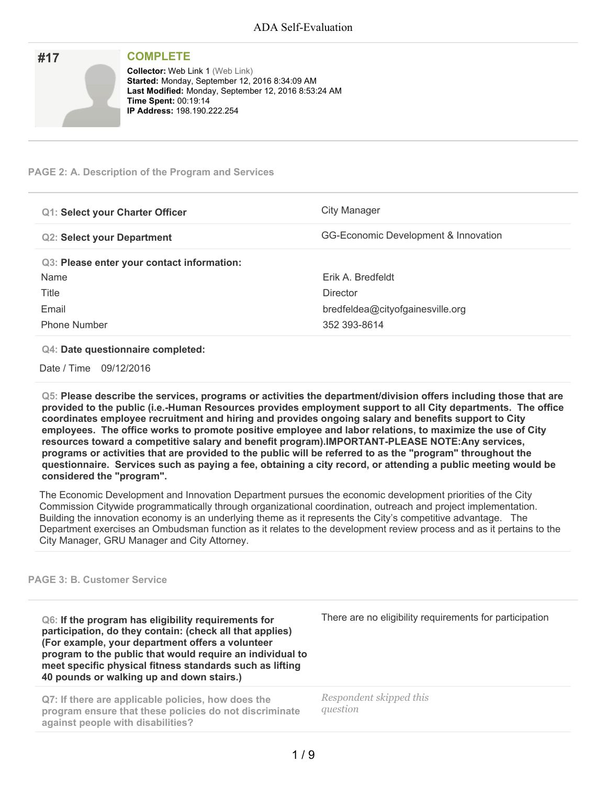| #17 | <b>COMPLETE</b>                                                                                                                                                                                                        |
|-----|------------------------------------------------------------------------------------------------------------------------------------------------------------------------------------------------------------------------|
|     | <b>Collector: Web Link 1 (Web Link)</b><br>Started: Monday, September 12, 2016 8:34:09 AM<br>Last Modified: Monday, September 12, 2016 8:53:24 AM<br><b>Time Spent: 00:19:14</b><br><b>IP Address: 198.190.222.254</b> |

### **PAGE 2: A. Description of the Program and Services**

| <b>Q1: Select your Charter Officer</b>     | City Manager                         |
|--------------------------------------------|--------------------------------------|
| <b>Q2: Select your Department</b>          | GG-Economic Development & Innovation |
| Q3: Please enter your contact information: |                                      |
| Name                                       | Erik A. Bredfeldt                    |
| Title                                      | <b>Director</b>                      |
| Email                                      | bredfeldea@cityofgainesville.org     |
| <b>Phone Number</b>                        | 352 393-8614                         |

#### **Q4: Date questionnaire completed:**

Date / Time 09/12/2016

**Q5: Please describe the services, programs or activities the department/division offers including those that are provided to the public (i.e.-Human Resources provides employment support to all City departments. The office coordinates employee recruitment and hiring and provides ongoing salary and benefits support to City employees. The office works to promote positive employee and labor relations, to maximize the use of City resources toward a competitive salary and benefit program).IMPORTANT-PLEASE NOTE:Any services,** programs or activities that are provided to the public will be referred to as the "program" throughout the questionnaire. Services such as paying a fee, obtaining a city record, or attending a public meeting would be **considered the "program".**

The Economic Development and Innovation Department pursues the economic development priorities of the City Commission Citywide programmatically through organizational coordination, outreach and project implementation. Building the innovation economy is an underlying theme as it represents the City's competitive advantage. The Department exercises an Ombudsman function as it relates to the development review process and as it pertains to the City Manager, GRU Manager and City Attorney.

#### **PAGE 3: B. Customer Service**

**Q6: If the program has eligibility requirements for participation, do they contain: (check all that applies) (For example, your department offers a volunteer program to the public that would require an individual to meet specific physical fitness standards such as lifting 40 pounds or walking up and down stairs.)**

**Q7: If there are applicable policies, how does the program ensure that these policies do not discriminate against people with disabilities?**

There are no eligibility requirements for participation

*Respondent skipped this question*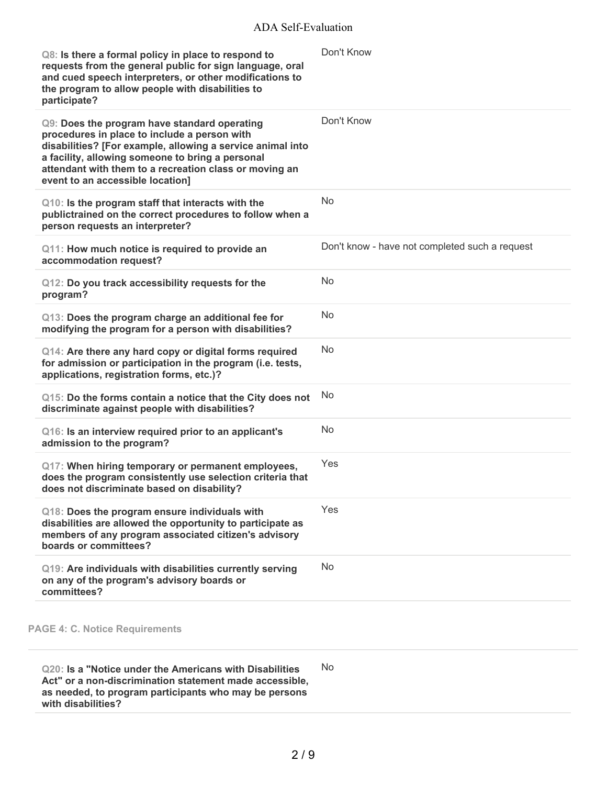## ADA Self-Evaluation

| Q8: Is there a formal policy in place to respond to<br>requests from the general public for sign language, oral<br>and cued speech interpreters, or other modifications to<br>the program to allow people with disabilities to<br>participate?                                                               | Don't Know                                     |
|--------------------------------------------------------------------------------------------------------------------------------------------------------------------------------------------------------------------------------------------------------------------------------------------------------------|------------------------------------------------|
| Q9: Does the program have standard operating<br>procedures in place to include a person with<br>disabilities? [For example, allowing a service animal into<br>a facility, allowing someone to bring a personal<br>attendant with them to a recreation class or moving an<br>event to an accessible location] | Don't Know                                     |
| Q10: Is the program staff that interacts with the<br>publictrained on the correct procedures to follow when a<br>person requests an interpreter?                                                                                                                                                             | <b>No</b>                                      |
| Q11: How much notice is required to provide an<br>accommodation request?                                                                                                                                                                                                                                     | Don't know - have not completed such a request |
| Q12: Do you track accessibility requests for the<br>program?                                                                                                                                                                                                                                                 | <b>No</b>                                      |
| Q13: Does the program charge an additional fee for<br>modifying the program for a person with disabilities?                                                                                                                                                                                                  | No.                                            |
| Q14: Are there any hard copy or digital forms required<br>for admission or participation in the program (i.e. tests,<br>applications, registration forms, etc.)?                                                                                                                                             | N <sub>o</sub>                                 |
| Q15: Do the forms contain a notice that the City does not<br>discriminate against people with disabilities?                                                                                                                                                                                                  | <b>No</b>                                      |
| Q16: Is an interview required prior to an applicant's<br>admission to the program?                                                                                                                                                                                                                           | <b>No</b>                                      |
| Q17: When hiring temporary or permanent employees,<br>does the program consistently use selection criteria that<br>does not discriminate based on disability?                                                                                                                                                | Yes                                            |
| Q18: Does the program ensure individuals with<br>disabilities are allowed the opportunity to participate as<br>members of any program associated citizen's advisory<br>boards or committees?                                                                                                                 | Yes                                            |
| Q19: Are individuals with disabilities currently serving<br>on any of the program's advisory boards or<br>committees?                                                                                                                                                                                        | <b>No</b>                                      |
|                                                                                                                                                                                                                                                                                                              |                                                |

## **PAGE 4: C. Notice Requirements**

**Q20: Is a "Notice under the Americans with Disabilities Act" or a non-discrimination statement made accessible, as needed, to program participants who may be persons with disabilities?** No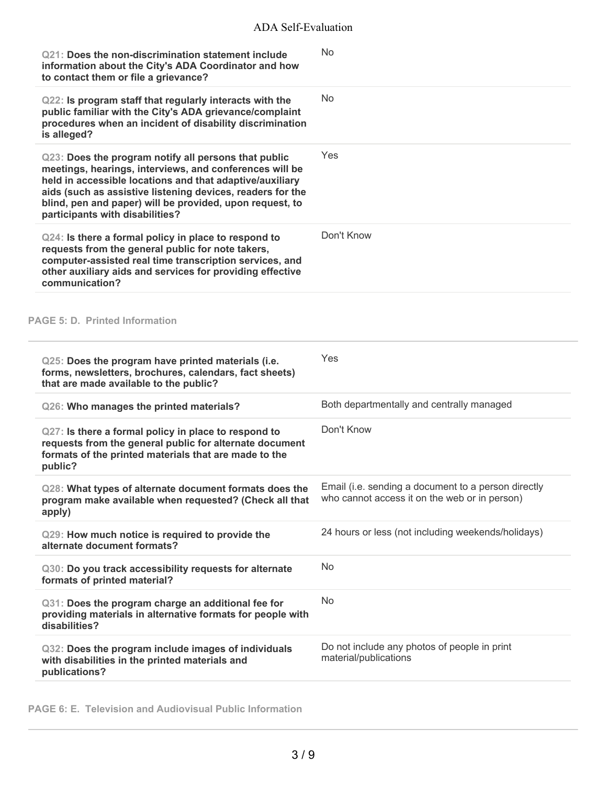| Q21: Does the non-discrimination statement include<br>information about the City's ADA Coordinator and how<br>to contact them or file a grievance?                                                                                                                                                                                       | No                                                                                                   |
|------------------------------------------------------------------------------------------------------------------------------------------------------------------------------------------------------------------------------------------------------------------------------------------------------------------------------------------|------------------------------------------------------------------------------------------------------|
| Q22: Is program staff that regularly interacts with the<br>public familiar with the City's ADA grievance/complaint<br>procedures when an incident of disability discrimination<br>is alleged?                                                                                                                                            | <b>No</b>                                                                                            |
| Q23: Does the program notify all persons that public<br>meetings, hearings, interviews, and conferences will be<br>held in accessible locations and that adaptive/auxiliary<br>aids (such as assistive listening devices, readers for the<br>blind, pen and paper) will be provided, upon request, to<br>participants with disabilities? | Yes                                                                                                  |
| Q24: Is there a formal policy in place to respond to<br>requests from the general public for note takers,<br>computer-assisted real time transcription services, and<br>other auxiliary aids and services for providing effective<br>communication?                                                                                      | Don't Know                                                                                           |
| <b>PAGE 5: D. Printed Information</b>                                                                                                                                                                                                                                                                                                    |                                                                                                      |
| Q25: Does the program have printed materials (i.e.<br>forms, newsletters, brochures, calendars, fact sheets)<br>that are made available to the public?                                                                                                                                                                                   | Yes                                                                                                  |
| Q26: Who manages the printed materials?                                                                                                                                                                                                                                                                                                  | Both departmentally and centrally managed                                                            |
| Q27: Is there a formal policy in place to respond to<br>requests from the general public for alternate document<br>formats of the printed materials that are made to the<br>public?                                                                                                                                                      | Don't Know                                                                                           |
| Q28: What types of alternate document formats does the<br>program make available when requested? (Check all that<br>apply)                                                                                                                                                                                                               | Email (i.e. sending a document to a person directly<br>who cannot access it on the web or in person) |
| Q29: How much notice is required to provide the<br>alternate document formats?                                                                                                                                                                                                                                                           | 24 hours or less (not including weekends/holidays)                                                   |
| Q30: Do you track accessibility requests for alternate<br>formats of printed material?                                                                                                                                                                                                                                                   | <b>No</b>                                                                                            |
| Q31: Does the program charge an additional fee for<br>providing materials in alternative formats for people with<br>disabilities?                                                                                                                                                                                                        | <b>No</b>                                                                                            |
| Q32: Does the program include images of individuals<br>with disabilities in the printed materials and<br>publications?                                                                                                                                                                                                                   | Do not include any photos of people in print<br>material/publications                                |

**PAGE 6: E. Television and Audiovisual Public Information**

i.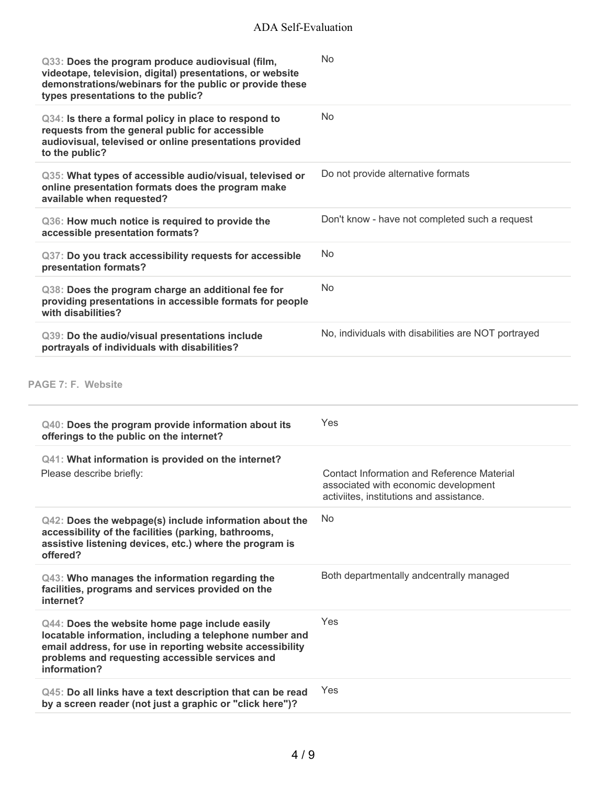| Q33: Does the program produce audiovisual (film,<br>videotape, television, digital) presentations, or website<br>demonstrations/webinars for the public or provide these<br>types presentations to the public?                            | <b>No</b>                                                                                                                             |
|-------------------------------------------------------------------------------------------------------------------------------------------------------------------------------------------------------------------------------------------|---------------------------------------------------------------------------------------------------------------------------------------|
| Q34: Is there a formal policy in place to respond to<br>requests from the general public for accessible<br>audiovisual, televised or online presentations provided<br>to the public?                                                      | <b>No</b>                                                                                                                             |
| Q35: What types of accessible audio/visual, televised or<br>online presentation formats does the program make<br>available when requested?                                                                                                | Do not provide alternative formats                                                                                                    |
| Q36: How much notice is required to provide the<br>accessible presentation formats?                                                                                                                                                       | Don't know - have not completed such a request                                                                                        |
| Q37: Do you track accessibility requests for accessible<br>presentation formats?                                                                                                                                                          | <b>No</b>                                                                                                                             |
| Q38: Does the program charge an additional fee for<br>providing presentations in accessible formats for people<br>with disabilities?                                                                                                      | <b>No</b>                                                                                                                             |
| Q39: Do the audio/visual presentations include<br>portrayals of individuals with disabilities?                                                                                                                                            | No, individuals with disabilities are NOT portrayed                                                                                   |
| PAGE 7: F. Website<br>Q40: Does the program provide information about its                                                                                                                                                                 | Yes                                                                                                                                   |
| offerings to the public on the internet?                                                                                                                                                                                                  |                                                                                                                                       |
| Q41: What information is provided on the internet?<br>Please describe briefly:                                                                                                                                                            | <b>Contact Information and Reference Material</b><br>associated with economic development<br>activiites, institutions and assistance. |
|                                                                                                                                                                                                                                           |                                                                                                                                       |
| Q42: Does the webpage(s) include information about the<br>accessibility of the facilities (parking, bathrooms,<br>assistive listening devices, etc.) where the program is<br>offered?                                                     | No                                                                                                                                    |
| Q43: Who manages the information regarding the<br>facilities, programs and services provided on the<br>internet?                                                                                                                          | Both departmentally andcentrally managed                                                                                              |
| Q44: Does the website home page include easily<br>locatable information, including a telephone number and<br>email address, for use in reporting website accessibility<br>problems and requesting accessible services and<br>information? | Yes                                                                                                                                   |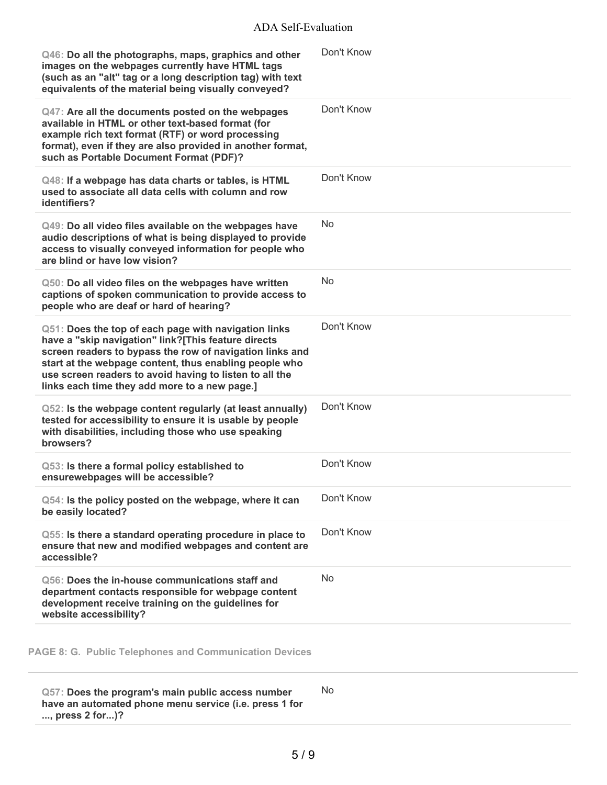| Q46: Do all the photographs, maps, graphics and other<br>images on the webpages currently have HTML tags<br>(such as an "alt" tag or a long description tag) with text<br>equivalents of the material being visually conveyed?                                                                                                                | Don't Know |
|-----------------------------------------------------------------------------------------------------------------------------------------------------------------------------------------------------------------------------------------------------------------------------------------------------------------------------------------------|------------|
| Q47: Are all the documents posted on the webpages<br>available in HTML or other text-based format (for<br>example rich text format (RTF) or word processing<br>format), even if they are also provided in another format,<br>such as Portable Document Format (PDF)?                                                                          | Don't Know |
| Q48: If a webpage has data charts or tables, is HTML<br>used to associate all data cells with column and row<br>identifiers?                                                                                                                                                                                                                  | Don't Know |
| Q49: Do all video files available on the webpages have<br>audio descriptions of what is being displayed to provide<br>access to visually conveyed information for people who<br>are blind or have low vision?                                                                                                                                 | <b>No</b>  |
| Q50: Do all video files on the webpages have written<br>captions of spoken communication to provide access to<br>people who are deaf or hard of hearing?                                                                                                                                                                                      | No         |
| Q51: Does the top of each page with navigation links<br>have a "skip navigation" link?[This feature directs<br>screen readers to bypass the row of navigation links and<br>start at the webpage content, thus enabling people who<br>use screen readers to avoid having to listen to all the<br>links each time they add more to a new page.] | Don't Know |
| Q52: Is the webpage content regularly (at least annually)<br>tested for accessibility to ensure it is usable by people<br>with disabilities, including those who use speaking<br>browsers?                                                                                                                                                    | Don't Know |
| Q53: Is there a formal policy established to<br>ensurewebpages will be accessible?                                                                                                                                                                                                                                                            | Don't Know |
| Q54: Is the policy posted on the webpage, where it can<br>be easily located?                                                                                                                                                                                                                                                                  | Don't Know |
| Q55: Is there a standard operating procedure in place to<br>ensure that new and modified webpages and content are<br>accessible?                                                                                                                                                                                                              | Don't Know |
| Q56: Does the in-house communications staff and<br>department contacts responsible for webpage content<br>development receive training on the guidelines for<br>website accessibility?                                                                                                                                                        | <b>No</b>  |
|                                                                                                                                                                                                                                                                                                                                               |            |

**PAGE 8: G. Public Telephones and Communication Devices**

**Q57: Does the program's main public access number have an automated phone menu service (i.e. press 1 for ..., press 2 for...)?** No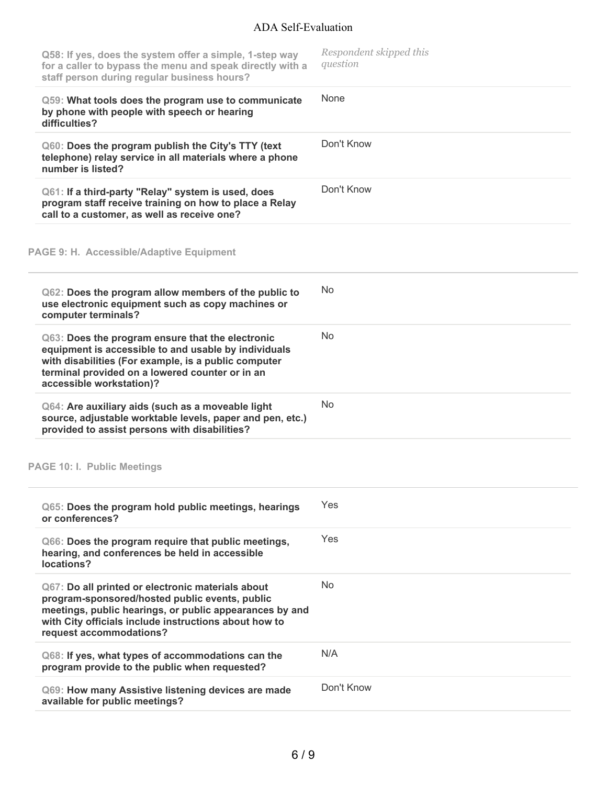# ADA Self-Evaluation

| Q58: If yes, does the system offer a simple, 1-step way<br>for a caller to bypass the menu and speak directly with a<br>staff person during regular business hours?                                                                                | Respondent skipped this<br>question |
|----------------------------------------------------------------------------------------------------------------------------------------------------------------------------------------------------------------------------------------------------|-------------------------------------|
| Q59: What tools does the program use to communicate<br>by phone with people with speech or hearing<br>difficulties?                                                                                                                                | None                                |
| Q60: Does the program publish the City's TTY (text<br>telephone) relay service in all materials where a phone<br>number is listed?                                                                                                                 | Don't Know                          |
| Q61: If a third-party "Relay" system is used, does<br>program staff receive training on how to place a Relay<br>call to a customer, as well as receive one?                                                                                        | Don't Know                          |
| PAGE 9: H. Accessible/Adaptive Equipment                                                                                                                                                                                                           |                                     |
| Q62: Does the program allow members of the public to<br>use electronic equipment such as copy machines or<br>computer terminals?                                                                                                                   | No.                                 |
| Q63: Does the program ensure that the electronic<br>equipment is accessible to and usable by individuals<br>with disabilities (For example, is a public computer<br>terminal provided on a lowered counter or in an<br>accessible workstation)?    | No                                  |
| Q64: Are auxiliary aids (such as a moveable light<br>source, adjustable worktable levels, paper and pen, etc.)<br>provided to assist persons with disabilities?                                                                                    | <b>No</b>                           |
| <b>PAGE 10: I. Public Meetings</b>                                                                                                                                                                                                                 |                                     |
| Q65: Does the program hold public meetings, hearings<br>or conferences?                                                                                                                                                                            | Yes                                 |
| Q66: Does the program require that public meetings,<br>hearing, and conferences be held in accessible<br>locations?                                                                                                                                | Yes                                 |
| Q67: Do all printed or electronic materials about<br>program-sponsored/hosted public events, public<br>meetings, public hearings, or public appearances by and<br>with City officials include instructions about how to<br>request accommodations? | No.                                 |
| Q68: If yes, what types of accommodations can the<br>program provide to the public when requested?                                                                                                                                                 | N/A                                 |
| Q69: How many Assistive listening devices are made<br>available for public meetings?                                                                                                                                                               | Don't Know                          |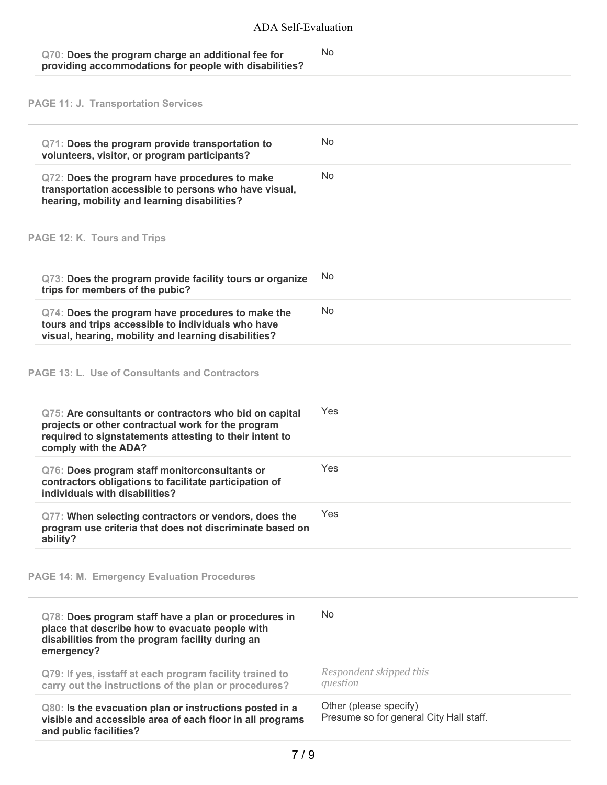| Q70: Does the program charge an additional fee for     | No |
|--------------------------------------------------------|----|
| providing accommodations for people with disabilities? |    |

**PAGE 11: J. Transportation Services**

| Q71: Does the program provide transportation to<br>volunteers, visitor, or program participants?                                                                                                | N <sub>0</sub>                                                    |
|-------------------------------------------------------------------------------------------------------------------------------------------------------------------------------------------------|-------------------------------------------------------------------|
| Q72: Does the program have procedures to make<br>transportation accessible to persons who have visual,<br>hearing, mobility and learning disabilities?                                          | No.                                                               |
| PAGE 12: K. Tours and Trips                                                                                                                                                                     |                                                                   |
| Q73: Does the program provide facility tours or organize<br>trips for members of the pubic?                                                                                                     | No                                                                |
| Q74: Does the program have procedures to make the<br>tours and trips accessible to individuals who have<br>visual, hearing, mobility and learning disabilities?                                 | <b>No</b>                                                         |
| <b>PAGE 13: L. Use of Consultants and Contractors</b>                                                                                                                                           |                                                                   |
| Q75: Are consultants or contractors who bid on capital<br>projects or other contractual work for the program<br>required to signstatements attesting to their intent to<br>comply with the ADA? | Yes                                                               |
| Q76: Does program staff monitorconsultants or<br>contractors obligations to facilitate participation of<br>individuals with disabilities?                                                       | Yes                                                               |
| Q77: When selecting contractors or vendors, does the<br>program use criteria that does not discriminate based on<br>ability?                                                                    | Yes                                                               |
| <b>PAGE 14: M. Emergency Evaluation Procedures</b>                                                                                                                                              |                                                                   |
| Q78: Does program staff have a plan or procedures in<br>place that describe how to evacuate people with<br>disabilities from the program facility during an<br>emergency?                       | N <sub>0</sub>                                                    |
| Q79: If yes, isstaff at each program facility trained to<br>carry out the instructions of the plan or procedures?                                                                               | Respondent skipped this<br>question                               |
| Q80: Is the evacuation plan or instructions posted in a<br>visible and accessible area of each floor in all programs<br>and public facilities?                                                  | Other (please specify)<br>Presume so for general City Hall staff. |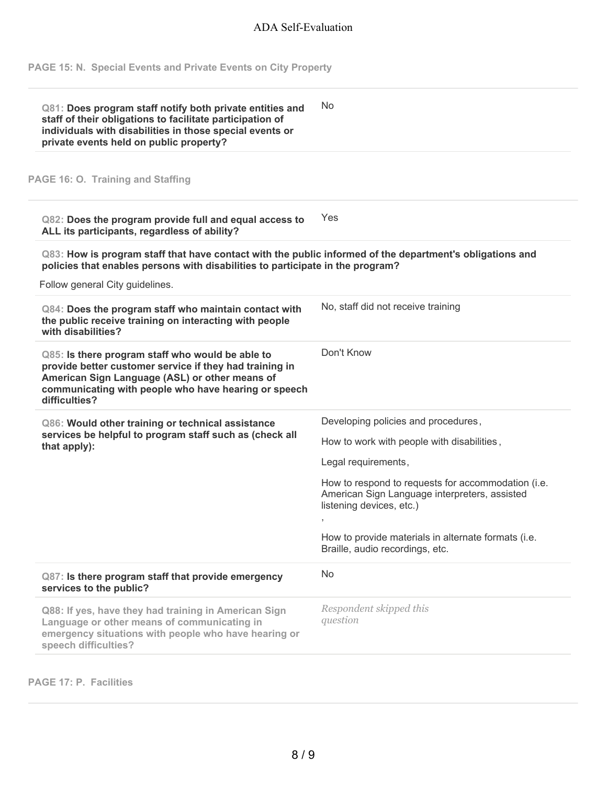**PAGE 15: N. Special Events and Private Events on City Property**

| Q81: Does program staff notify both private entities and<br>staff of their obligations to facilitate participation of<br>individuals with disabilities in those special events or<br>private events held on public property?           | No.                                                                                                                             |
|----------------------------------------------------------------------------------------------------------------------------------------------------------------------------------------------------------------------------------------|---------------------------------------------------------------------------------------------------------------------------------|
| PAGE 16: O. Training and Staffing                                                                                                                                                                                                      |                                                                                                                                 |
| Q82: Does the program provide full and equal access to<br>ALL its participants, regardless of ability?                                                                                                                                 | Yes                                                                                                                             |
| Q83: How is program staff that have contact with the public informed of the department's obligations and<br>policies that enables persons with disabilities to participate in the program?<br>Follow general City guidelines.          |                                                                                                                                 |
| Q84: Does the program staff who maintain contact with<br>the public receive training on interacting with people<br>with disabilities?                                                                                                  | No, staff did not receive training                                                                                              |
| Q85: Is there program staff who would be able to<br>provide better customer service if they had training in<br>American Sign Language (ASL) or other means of<br>communicating with people who have hearing or speech<br>difficulties? | Don't Know                                                                                                                      |
| Q86: Would other training or technical assistance<br>services be helpful to program staff such as (check all<br>that apply):                                                                                                           | Developing policies and procedures,                                                                                             |
|                                                                                                                                                                                                                                        | How to work with people with disabilities,                                                                                      |
|                                                                                                                                                                                                                                        | Legal requirements,                                                                                                             |
|                                                                                                                                                                                                                                        | How to respond to requests for accommodation (i.e.<br>American Sign Language interpreters, assisted<br>listening devices, etc.) |
|                                                                                                                                                                                                                                        | How to provide materials in alternate formats (i.e.<br>Braille, audio recordings, etc.                                          |
| Q87: Is there program staff that provide emergency<br>services to the public?                                                                                                                                                          | No                                                                                                                              |
| Q88: If yes, have they had training in American Sign<br>Language or other means of communicating in<br>emergency situations with people who have hearing or<br>speech difficulties?                                                    | Respondent skipped this<br>question                                                                                             |

**PAGE 17: P. Facilities**